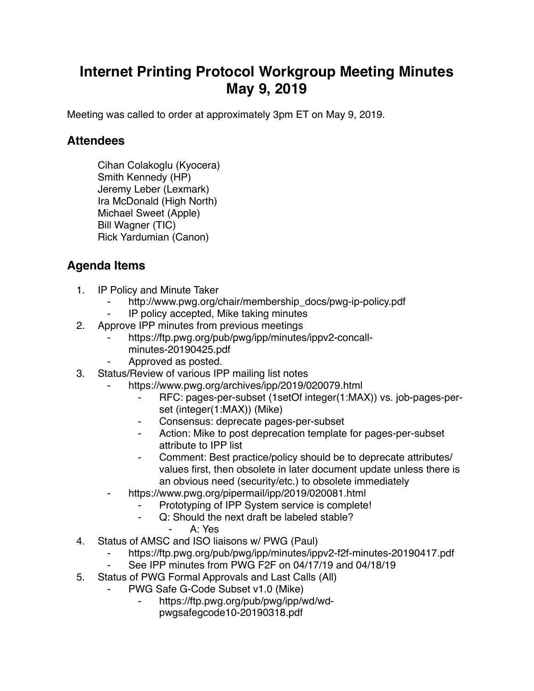## **Internet Printing Protocol Workgroup Meeting Minutes May 9, 2019**

Meeting was called to order at approximately 3pm ET on May 9, 2019.

## **Attendees**

Cihan Colakoglu (Kyocera) Smith Kennedy (HP) Jeremy Leber (Lexmark) Ira McDonald (High North) Michael Sweet (Apple) Bill Wagner (TIC) Rick Yardumian (Canon)

## **Agenda Items**

- 1. IP Policy and Minute Taker
	- http://www.pwg.org/chair/membership\_docs/pwg-ip-policy.pdf
	- ⁃ IP policy accepted, Mike taking minutes
- 2. Approve IPP minutes from previous meetings
	- https://ftp.pwg.org/pub/pwg/ipp/minutes/ippv2-concallminutes-20190425.pdf
	- Approved as posted.
- 3. Status/Review of various IPP mailing list notes
	- https://www.pwg.org/archives/ipp/2019/020079.html
		- ⁃ RFC: pages-per-subset (1setOf integer(1:MAX)) vs. job-pages-perset (integer(1:MAX)) (Mike)
		- ⁃ Consensus: deprecate pages-per-subset
		- Action: Mike to post deprecation template for pages-per-subset attribute to IPP list
		- Comment: Best practice/policy should be to deprecate attributes/ values first, then obsolete in later document update unless there is an obvious need (security/etc.) to obsolete immediately
	- https://www.pwg.org/pipermail/ipp/2019/020081.html
		- Prototyping of IPP System service is complete!
		- ⁃ Q: Should the next draft be labeled stable?
			- ⁃ A: Yes
- 4. Status of AMSC and ISO liaisons w/ PWG (Paul)
	- https://ftp.pwg.org/pub/pwg/ipp/minutes/ippv2-f2f-minutes-20190417.pdf
	- See IPP minutes from PWG F2F on 04/17/19 and 04/18/19
- 5. Status of PWG Formal Approvals and Last Calls (All)
	- PWG Safe G-Code Subset v1.0 (Mike)
		- ⁃ https://ftp.pwg.org/pub/pwg/ipp/wd/wd
			- pwgsafegcode10-20190318.pdf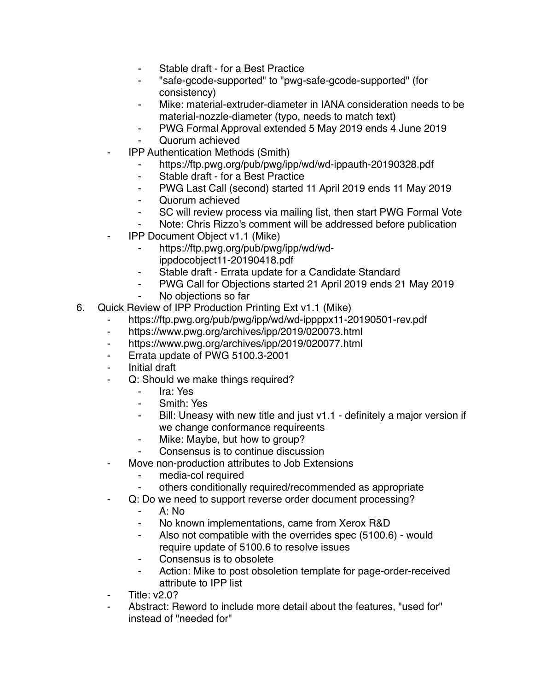- Stable draft for a Best Practice
- ⁃ "safe-gcode-supported" to "pwg-safe-gcode-supported" (for consistency)
- Mike: material-extruder-diameter in IANA consideration needs to be material-nozzle-diameter (typo, needs to match text)
- ⁃ PWG Formal Approval extended 5 May 2019 ends 4 June 2019
- ⁃ Quorum achieved
- **IPP Authentication Methods (Smith)** 
	- ⁃ https://ftp.pwg.org/pub/pwg/ipp/wd/wd-ippauth-20190328.pdf
	- ⁃ Stable draft for a Best Practice
	- ⁃ PWG Last Call (second) started 11 April 2019 ends 11 May 2019
	- ⁃ Quorum achieved
	- SC will review process via mailing list, then start PWG Formal Vote
	- Note: Chris Rizzo's comment will be addressed before publication
- ⁃ IPP Document Object v1.1 (Mike)
	- ⁃ https://ftp.pwg.org/pub/pwg/ipp/wd/wdippdocobject11-20190418.pdf
	- Stable draft Errata update for a Candidate Standard
	- PWG Call for Objections started 21 April 2019 ends 21 May 2019
	- No objections so far
- 6. Quick Review of IPP Production Printing Ext v1.1 (Mike)
	- https://ftp.pwg.org/pub/pwg/ipp/wd/wd-ippppx11-20190501-rev.pdf
	- https://www.pwg.org/archives/ipp/2019/020073.html
	- ⁃ https://www.pwg.org/archives/ipp/2019/020077.html
	- ⁃ Errata update of PWG 5100.3-2001
	- ⁃ Initial draft
	- ⁃ Q: Should we make things required?
		- ⁃ Ira: Yes
		- Smith: Yes
		- Bill: Uneasy with new title and just v1.1 definitely a major version if we change conformance requireents
		- ⁃ Mike: Maybe, but how to group?
		- Consensus is to continue discussion
	- Move non-production attributes to Job Extensions
		- ⁃ media-col required
		- others conditionally required/recommended as appropriate
	- Q: Do we need to support reverse order document processing?
		- ⁃ A: No
		- No known implementations, came from Xerox R&D
		- ⁃ Also not compatible with the overrides spec (5100.6) would require update of 5100.6 to resolve issues
		- ⁃ Consensus is to obsolete
		- Action: Mike to post obsoletion template for page-order-received attribute to IPP list
	- ⁃ Title: v2.0?
	- Abstract: Reword to include more detail about the features, "used for" instead of "needed for"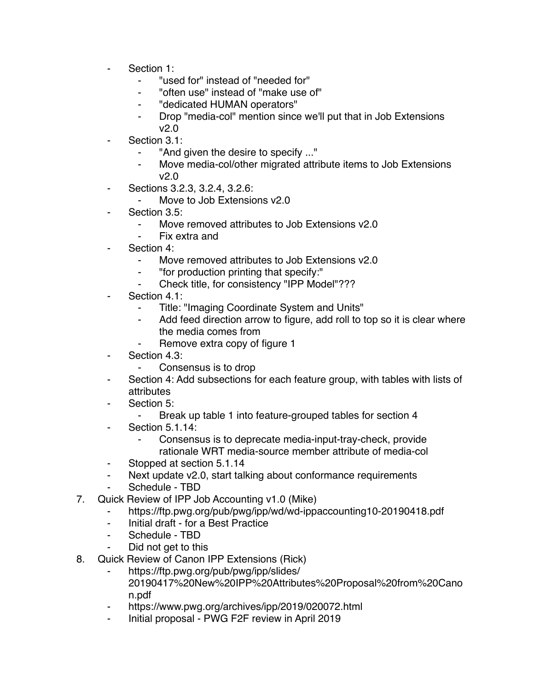- Section 1:
	- ⁃ "used for" instead of "needed for"
	- ⁃ "often use" instead of "make use of"
	- ⁃ "dedicated HUMAN operators"
	- ⁃ Drop "media-col" mention since we'll put that in Job Extensions v2.0
	- Section 3.1:
		- "And given the desire to specify ..."
		- Move media-col/other migrated attribute items to Job Extensions v2.0
- Sections 3.2.3, 3.2.4, 3.2.6:
	- ⁃ Move to Job Extensions v2.0
- Section 3.5:
	- Move removed attributes to Job Extensions v2.0
	- Fix extra and
- Section 4:
	- ⁃ Move removed attributes to Job Extensions v2.0
	- ⁃ "for production printing that specify:"
	- ⁃ Check title, for consistency "IPP Model"???
- Section 4.1:
	- Title: "Imaging Coordinate System and Units"
	- ⁃ Add feed direction arrow to figure, add roll to top so it is clear where the media comes from
		- Remove extra copy of figure 1
- Section 4.3:
	- Consensus is to drop
- Section 4: Add subsections for each feature group, with tables with lists of attributes
- Section 5:
	- Break up table 1 into feature-grouped tables for section 4
- **Section 5.1.14:** 
	- ⁃ Consensus is to deprecate media-input-tray-check, provide rationale WRT media-source member attribute of media-col
- ⁃ Stopped at section 5.1.14
- ⁃ Next update v2.0, start talking about conformance requirements
- Schedule TBD
- 7. Quick Review of IPP Job Accounting v1.0 (Mike)
	- https://ftp.pwg.org/pub/pwg/ipp/wd/wd-ippaccounting10-20190418.pdf
	- ⁃ Initial draft for a Best Practice
	- Schedule TBD
	- Did not get to this
- 8. Quick Review of Canon IPP Extensions (Rick)
	- https://ftp.pwg.org/pub/pwg/ipp/slides/ 20190417%20New%20IPP%20Attributes%20Proposal%20from%20Cano n.pdf
	- https://www.pwg.org/archives/ipp/2019/020072.html
	- ⁃ Initial proposal PWG F2F review in April 2019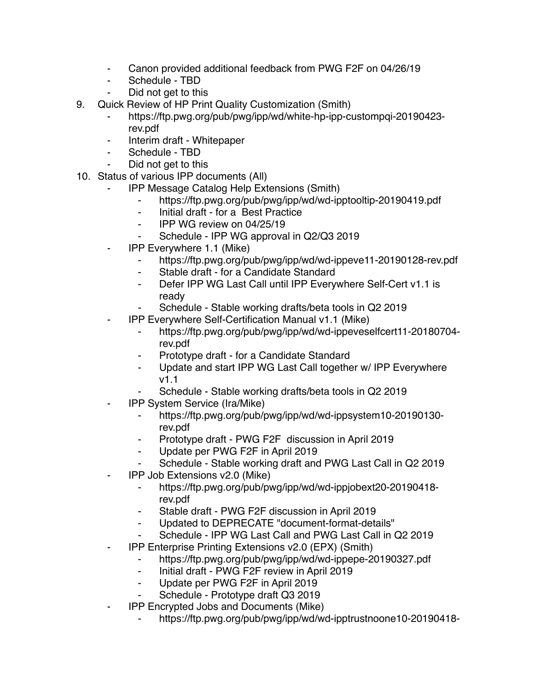- Canon provided additional feedback from PWG F2F on 04/26/19
- ⁃ Schedule TBD
- Did not get to this
- 9. Quick Review of HP Print Quality Customization (Smith)
	- ⁃ https://ftp.pwg.org/pub/pwg/ipp/wd/white-hp-ipp-custompqi-20190423 rev.pdf
	- ⁃ Interim draft Whitepaper
	- Schedule TBD
	- Did not get to this
- 10. Status of various IPP documents (All)
	- ⁃ IPP Message Catalog Help Extensions (Smith)
		- ⁃ https://ftp.pwg.org/pub/pwg/ipp/wd/wd-ipptooltip-20190419.pdf
		- ⁃ Initial draft for a Best Practice
		- ⁃ IPP WG review on 04/25/19
		- Schedule IPP WG approval in Q2/Q3 2019
	- ⁃ IPP Everywhere 1.1 (Mike)
		- ⁃ https://ftp.pwg.org/pub/pwg/ipp/wd/wd-ippeve11-20190128-rev.pdf
		- ⁃ Stable draft for a Candidate Standard
		- ⁃ Defer IPP WG Last Call until IPP Everywhere Self-Cert v1.1 is ready
		- Schedule Stable working drafts/beta tools in Q2 2019
	- ⁃ IPP Everywhere Self-Certification Manual v1.1 (Mike)
		- ⁃ https://ftp.pwg.org/pub/pwg/ipp/wd/wd-ippeveselfcert11-20180704 rev.pdf
		- ⁃ Prototype draft for a Candidate Standard
		- ⁃ Update and start IPP WG Last Call together w/ IPP Everywhere v1.1
			- Schedule Stable working drafts/beta tools in Q2 2019
	- ⁃ IPP System Service (Ira/Mike)
		- https://ftp.pwg.org/pub/pwg/ipp/wd/wd-ippsystem10-20190130rev.pdf
		- ⁃ Prototype draft PWG F2F discussion in April 2019
		- Update per PWG F2F in April 2019
		- ⁃ Schedule Stable working draft and PWG Last Call in Q2 2019
	- ⁃ IPP Job Extensions v2.0 (Mike)
		- ⁃ https://ftp.pwg.org/pub/pwg/ipp/wd/wd-ippjobext20-20190418 rev.pdf
		- Stable draft PWG F2F discussion in April 2019
		- Updated to DEPRECATE "document-format-details"
		- Schedule IPP WG Last Call and PWG Last Call in Q2 2019
	- ⁃ IPP Enterprise Printing Extensions v2.0 (EPX) (Smith)
		- ⁃ https://ftp.pwg.org/pub/pwg/ipp/wd/wd-ippepe-20190327.pdf
		- Initial draft PWG F2F review in April 2019
		- ⁃ Update per PWG F2F in April 2019
		- Schedule Prototype draft Q3 2019
	- ⁃ IPP Encrypted Jobs and Documents (Mike)
		- ⁃ https://ftp.pwg.org/pub/pwg/ipp/wd/wd-ipptrustnoone10-20190418-